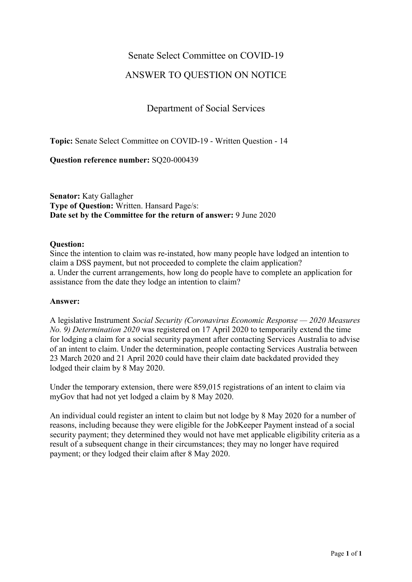### Senate Select Committee on COVID-19

# ANSWER TO QUESTION ON NOTICE

# Department of Social Services

**Topic:** Senate Select Committee on COVID-19 - Written Question - 14

**Question reference number:** SQ20-000439

**Senator:** Katy Gallagher **Type of Question:** Written. Hansard Page/s: **Date set by the Committee for the return of answer:** 9 June 2020

#### **Question:**

Since the intention to claim was re-instated, how many people have lodged an intention to claim a DSS payment, but not proceeded to complete the claim application? a. Under the current arrangements, how long do people have to complete an application for assistance from the date they lodge an intention to claim?

#### **Answer:**

A legislative Instrument *Social Security (Coronavirus Economic Response — 2020 Measures No. 9) Determination 2020* was registered on 17 April 2020 to temporarily extend the time for lodging a claim for a social security payment after contacting Services Australia to advise of an intent to claim. Under the determination, people contacting Services Australia between 23 March 2020 and 21 April 2020 could have their claim date backdated provided they lodged their claim by 8 May 2020.

Under the temporary extension, there were 859,015 registrations of an intent to claim via myGov that had not yet lodged a claim by 8 May 2020.

An individual could register an intent to claim but not lodge by 8 May 2020 for a number of reasons, including because they were eligible for the JobKeeper Payment instead of a social security payment; they determined they would not have met applicable eligibility criteria as a result of a subsequent change in their circumstances; they may no longer have required payment; or they lodged their claim after 8 May 2020.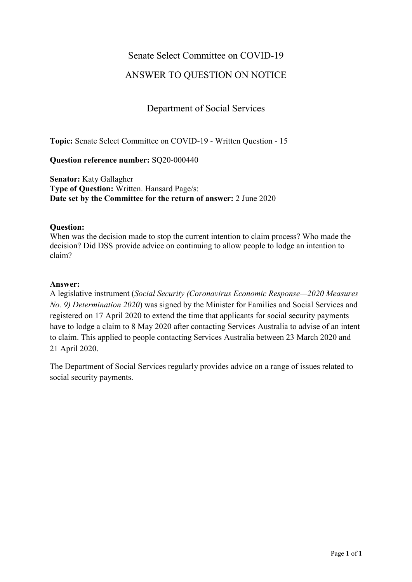# Senate Select Committee on COVID-19

# ANSWER TO QUESTION ON NOTICE

# Department of Social Services

**Topic:** Senate Select Committee on COVID-19 - Written Question - 15

**Question reference number:** SQ20-000440

**Senator:** Katy Gallagher **Type of Question:** Written. Hansard Page/s: **Date set by the Committee for the return of answer:** 2 June 2020

#### **Question:**

When was the decision made to stop the current intention to claim process? Who made the decision? Did DSS provide advice on continuing to allow people to lodge an intention to claim?

### **Answer:**

A legislative instrument (*Social Security (Coronavirus Economic Response—2020 Measures No. 9) Determination 2020*) was signed by the Minister for Families and Social Services and registered on 17 April 2020 to extend the time that applicants for social security payments have to lodge a claim to 8 May 2020 after contacting Services Australia to advise of an intent to claim. This applied to people contacting Services Australia between 23 March 2020 and 21 April 2020.

The Department of Social Services regularly provides advice on a range of issues related to social security payments.